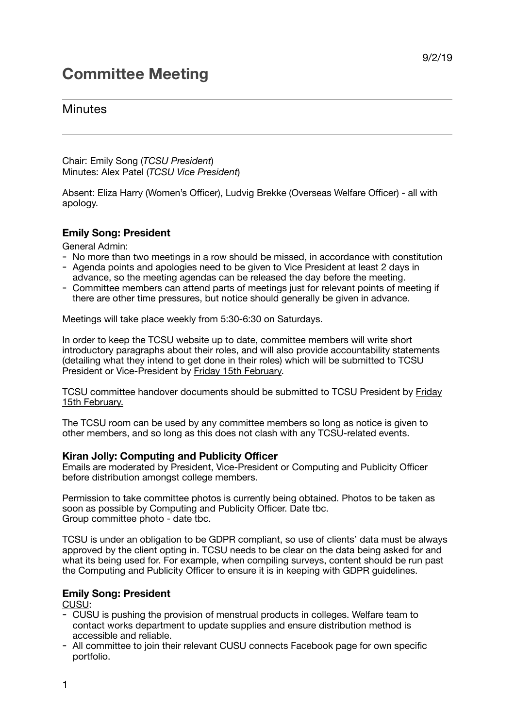# **Committee Meeting**

## **Minutes**

Chair: Emily Song (*TCSU President*) Minutes: Alex Patel (*TCSU Vice President*)

Absent: Eliza Harry (Women's Officer), Ludvig Brekke (Overseas Welfare Officer) - all with apology.

### **Emily Song: President**

General Admin:

- No more than two meetings in a row should be missed, in accordance with constitution
- Agenda points and apologies need to be given to Vice President at least 2 days in advance, so the meeting agendas can be released the day before the meeting.
- Committee members can attend parts of meetings just for relevant points of meeting if there are other time pressures, but notice should generally be given in advance.

Meetings will take place weekly from 5:30-6:30 on Saturdays.

In order to keep the TCSU website up to date, committee members will write short introductory paragraphs about their roles, and will also provide accountability statements (detailing what they intend to get done in their roles) which will be submitted to TCSU President or Vice-President by Friday 15th February.

TCSU committee handover documents should be submitted to TCSU President by Friday 15th February.

The TCSU room can be used by any committee members so long as notice is given to other members, and so long as this does not clash with any TCSU-related events.

#### **Kiran Jolly: Computing and Publicity Officer**

Emails are moderated by President, Vice-President or Computing and Publicity Officer before distribution amongst college members.

Permission to take committee photos is currently being obtained. Photos to be taken as soon as possible by Computing and Publicity Officer. Date tbc. Group committee photo - date tbc.

TCSU is under an obligation to be GDPR compliant, so use of clients' data must be always approved by the client opting in. TCSU needs to be clear on the data being asked for and what its being used for. For example, when compiling surveys, content should be run past the Computing and Publicity Officer to ensure it is in keeping with GDPR guidelines.

#### **Emily Song: President**

CUSU:

- CUSU is pushing the provision of menstrual products in colleges. Welfare team to contact works department to update supplies and ensure distribution method is accessible and reliable.
- All committee to join their relevant CUSU connects Facebook page for own specific portfolio.